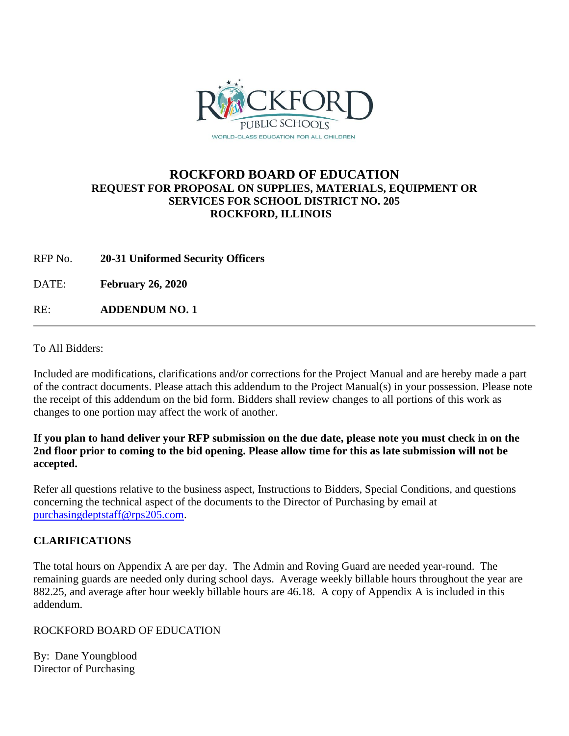

## **ROCKFORD BOARD OF EDUCATION REQUEST FOR PROPOSAL ON SUPPLIES, MATERIALS, EQUIPMENT OR SERVICES FOR SCHOOL DISTRICT NO. 205 ROCKFORD, ILLINOIS**

RFP No. **20-31 Uniformed Security Officers**

DATE: **February 26, 2020**

RE: **ADDENDUM NO. 1**

To All Bidders:

Included are modifications, clarifications and/or corrections for the Project Manual and are hereby made a part of the contract documents. Please attach this addendum to the Project Manual(s) in your possession. Please note the receipt of this addendum on the bid form. Bidders shall review changes to all portions of this work as changes to one portion may affect the work of another.

## **If you plan to hand deliver your RFP submission on the due date, please note you must check in on the 2nd floor prior to coming to the bid opening. Please allow time for this as late submission will not be accepted.**

Refer all questions relative to the business aspect, Instructions to Bidders, Special Conditions, and questions concerning the technical aspect of the documents to the Director of Purchasing by email at [purchasingdeptstaff@rps205.com.](mailto:purchasingdeptstaff@rps205.com)

## **CLARIFICATIONS**

The total hours on Appendix A are per day. The Admin and Roving Guard are needed year-round. The remaining guards are needed only during school days. Average weekly billable hours throughout the year are 882.25, and average after hour weekly billable hours are 46.18. A copy of Appendix A is included in this addendum.

ROCKFORD BOARD OF EDUCATION

By: Dane Youngblood Director of Purchasing